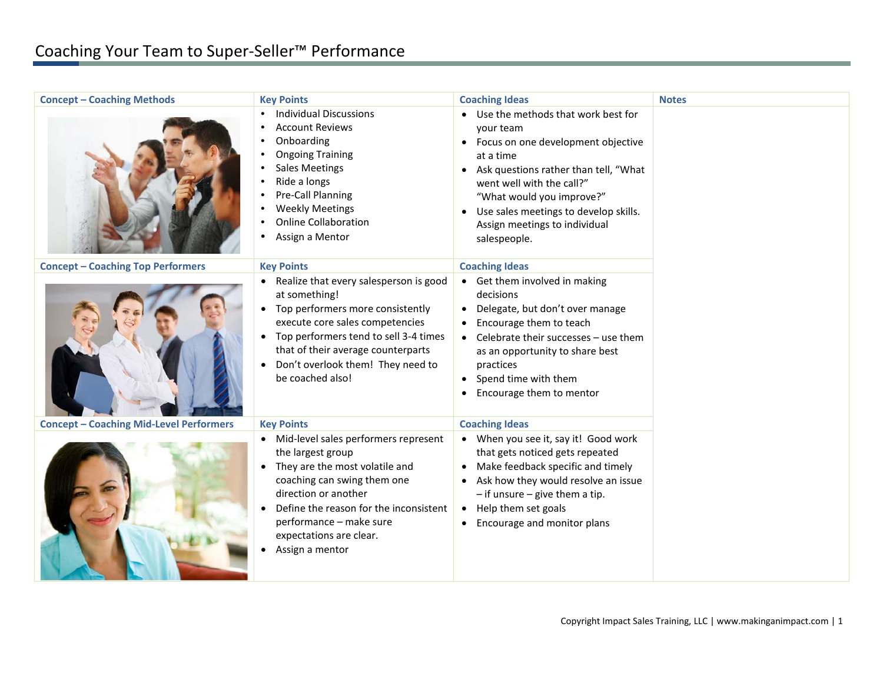| <b>Concept - Coaching Methods</b>              | <b>Key Points</b>                                                                                                                                                                                                                                                                   | <b>Coaching Ideas</b>                                                                                                                                                                                                                                                                                                                    | <b>Notes</b> |
|------------------------------------------------|-------------------------------------------------------------------------------------------------------------------------------------------------------------------------------------------------------------------------------------------------------------------------------------|------------------------------------------------------------------------------------------------------------------------------------------------------------------------------------------------------------------------------------------------------------------------------------------------------------------------------------------|--------------|
|                                                | <b>Individual Discussions</b><br>$\bullet$<br><b>Account Reviews</b><br>Onboarding<br><b>Ongoing Training</b><br><b>Sales Meetings</b><br>Ride a longs<br>Pre-Call Planning<br><b>Weekly Meetings</b><br><b>Online Collaboration</b><br>Assign a Mentor                             | • Use the methods that work best for<br>your team<br>Focus on one development objective<br>$\bullet$<br>at a time<br>Ask questions rather than tell, "What<br>$\bullet$<br>went well with the call?"<br>"What would you improve?"<br>Use sales meetings to develop skills.<br>$\bullet$<br>Assign meetings to individual<br>salespeople. |              |
| <b>Concept - Coaching Top Performers</b>       | <b>Key Points</b>                                                                                                                                                                                                                                                                   | <b>Coaching Ideas</b>                                                                                                                                                                                                                                                                                                                    |              |
|                                                | Realize that every salesperson is good<br>at something!<br>Top performers more consistently<br>execute core sales competencies<br>Top performers tend to sell 3-4 times<br>$\bullet$<br>that of their average counterparts<br>Don't overlook them! They need to<br>be coached also! | Get them involved in making<br>$\bullet$<br>decisions<br>Delegate, but don't over manage<br>$\bullet$<br>Encourage them to teach<br>Celebrate their successes - use them<br>$\bullet$<br>as an opportunity to share best<br>practices<br>Spend time with them<br>$\bullet$<br>Encourage them to mentor                                   |              |
| <b>Concept - Coaching Mid-Level Performers</b> | <b>Key Points</b>                                                                                                                                                                                                                                                                   | <b>Coaching Ideas</b>                                                                                                                                                                                                                                                                                                                    |              |
|                                                | Mid-level sales performers represent<br>the largest group<br>They are the most volatile and<br>coaching can swing them one<br>direction or another<br>Define the reason for the inconsistent<br>performance - make sure<br>expectations are clear.<br>Assign a mentor               | When you see it, say it! Good work<br>$\bullet$<br>that gets noticed gets repeated<br>Make feedback specific and timely<br>Ask how they would resolve an issue<br>$-$ if unsure $-$ give them a tip.<br>Help them set goals<br>$\bullet$<br>Encourage and monitor plans<br>$\bullet$                                                     |              |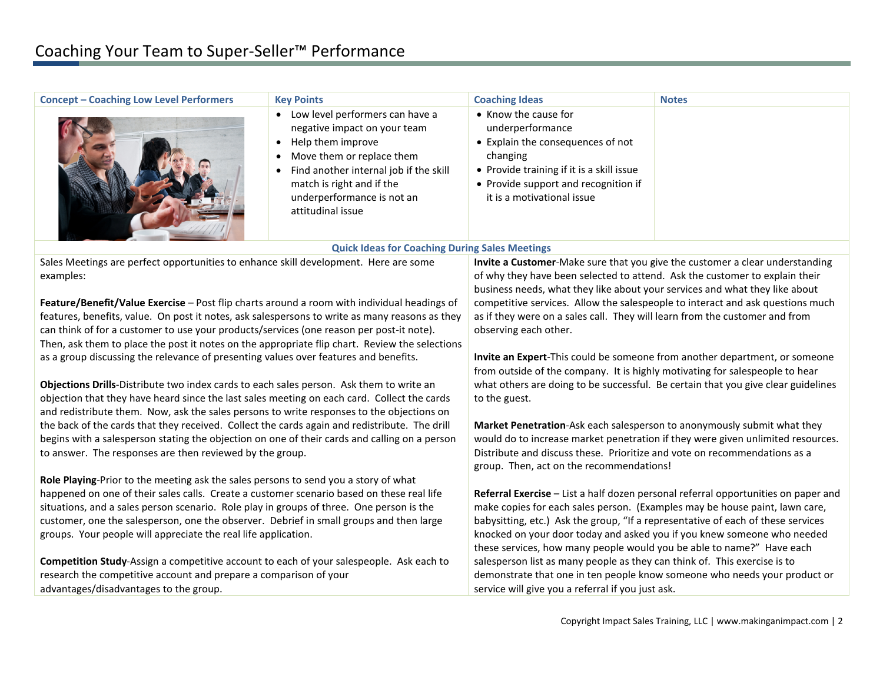| • Know the cause for<br>• Low level performers can have a<br>underperformance<br>negative impact on your team<br>• Explain the consequences of not<br>Help them improve<br>$\bullet$<br>Move them or replace them<br>changing<br>Find another internal job if the skill<br>• Provide training if it is a skill issue<br>match is right and if the<br>• Provide support and recognition if<br>underperformance is not an<br>it is a motivational issue<br>attitudinal issue<br><b>Quick Ideas for Coaching During Sales Meetings</b><br>Sales Meetings are perfect opportunities to enhance skill development. Here are some<br>Invite a Customer-Make sure that you give the customer a clear understanding<br>of why they have been selected to attend. Ask the customer to explain their<br>examples:<br>business needs, what they like about your services and what they like about<br>Feature/Benefit/Value Exercise - Post flip charts around a room with individual headings of<br>competitive services. Allow the salespeople to interact and ask questions much<br>features, benefits, value. On post it notes, ask salespersons to write as many reasons as they<br>as if they were on a sales call. They will learn from the customer and from<br>can think of for a customer to use your products/services (one reason per post-it note).<br>observing each other.<br>Then, ask them to place the post it notes on the appropriate flip chart. Review the selections<br>as a group discussing the relevance of presenting values over features and benefits.<br>Invite an Expert-This could be someone from another department, or someone<br>from outside of the company. It is highly motivating for salespeople to hear<br>what others are doing to be successful. Be certain that you give clear guidelines<br>Objections Drills-Distribute two index cards to each sales person. Ask them to write an<br>objection that they have heard since the last sales meeting on each card. Collect the cards<br>to the guest.<br>and redistribute them. Now, ask the sales persons to write responses to the objections on<br>the back of the cards that they received. Collect the cards again and redistribute. The drill<br>Market Penetration-Ask each salesperson to anonymously submit what they<br>begins with a salesperson stating the objection on one of their cards and calling on a person<br>would do to increase market penetration if they were given unlimited resources.<br>Distribute and discuss these. Prioritize and vote on recommendations as a<br>to answer. The responses are then reviewed by the group.<br>group. Then, act on the recommendations!<br>Role Playing-Prior to the meeting ask the sales persons to send you a story of what<br>happened on one of their sales calls. Create a customer scenario based on these real life<br>Referral Exercise - List a half dozen personal referral opportunities on paper and<br>situations, and a sales person scenario. Role play in groups of three. One person is the<br>make copies for each sales person. (Examples may be house paint, lawn care,<br>customer, one the salesperson, one the observer. Debrief in small groups and then large<br>babysitting, etc.) Ask the group, "If a representative of each of these services<br>groups. Your people will appreciate the real life application.<br>knocked on your door today and asked you if you knew someone who needed<br>these services, how many people would you be able to name?" Have each<br>Competition Study-Assign a competitive account to each of your salespeople. Ask each to<br>salesperson list as many people as they can think of. This exercise is to<br>research the competitive account and prepare a comparison of your<br>demonstrate that one in ten people know someone who needs your product or<br>advantages/disadvantages to the group.<br>service will give you a referral if you just ask. | <b>Concept - Coaching Low Level Performers</b> | <b>Key Points</b> | <b>Coaching Ideas</b> | <b>Notes</b> |
|----------------------------------------------------------------------------------------------------------------------------------------------------------------------------------------------------------------------------------------------------------------------------------------------------------------------------------------------------------------------------------------------------------------------------------------------------------------------------------------------------------------------------------------------------------------------------------------------------------------------------------------------------------------------------------------------------------------------------------------------------------------------------------------------------------------------------------------------------------------------------------------------------------------------------------------------------------------------------------------------------------------------------------------------------------------------------------------------------------------------------------------------------------------------------------------------------------------------------------------------------------------------------------------------------------------------------------------------------------------------------------------------------------------------------------------------------------------------------------------------------------------------------------------------------------------------------------------------------------------------------------------------------------------------------------------------------------------------------------------------------------------------------------------------------------------------------------------------------------------------------------------------------------------------------------------------------------------------------------------------------------------------------------------------------------------------------------------------------------------------------------------------------------------------------------------------------------------------------------------------------------------------------------------------------------------------------------------------------------------------------------------------------------------------------------------------------------------------------------------------------------------------------------------------------------------------------------------------------------------------------------------------------------------------------------------------------------------------------------------------------------------------------------------------------------------------------------------------------------------------------------------------------------------------------------------------------------------------------------------------------------------------------------------------------------------------------------------------------------------------------------------------------------------------------------------------------------------------------------------------------------------------------------------------------------------------------------------------------------------------------------------------------------------------------------------------------------------------------------------------------------------------------------------------------------------------------------------------------------------------------------------------------------------------------------------------------------------------------------------------------------------------------------------------------------------------------------------------------------------------------------------------------------------------------------------------------------------------------|------------------------------------------------|-------------------|-----------------------|--------------|
|                                                                                                                                                                                                                                                                                                                                                                                                                                                                                                                                                                                                                                                                                                                                                                                                                                                                                                                                                                                                                                                                                                                                                                                                                                                                                                                                                                                                                                                                                                                                                                                                                                                                                                                                                                                                                                                                                                                                                                                                                                                                                                                                                                                                                                                                                                                                                                                                                                                                                                                                                                                                                                                                                                                                                                                                                                                                                                                                                                                                                                                                                                                                                                                                                                                                                                                                                                                                                                                                                                                                                                                                                                                                                                                                                                                                                                                                                                                                                                            |                                                |                   |                       |              |
|                                                                                                                                                                                                                                                                                                                                                                                                                                                                                                                                                                                                                                                                                                                                                                                                                                                                                                                                                                                                                                                                                                                                                                                                                                                                                                                                                                                                                                                                                                                                                                                                                                                                                                                                                                                                                                                                                                                                                                                                                                                                                                                                                                                                                                                                                                                                                                                                                                                                                                                                                                                                                                                                                                                                                                                                                                                                                                                                                                                                                                                                                                                                                                                                                                                                                                                                                                                                                                                                                                                                                                                                                                                                                                                                                                                                                                                                                                                                                                            |                                                |                   |                       |              |
|                                                                                                                                                                                                                                                                                                                                                                                                                                                                                                                                                                                                                                                                                                                                                                                                                                                                                                                                                                                                                                                                                                                                                                                                                                                                                                                                                                                                                                                                                                                                                                                                                                                                                                                                                                                                                                                                                                                                                                                                                                                                                                                                                                                                                                                                                                                                                                                                                                                                                                                                                                                                                                                                                                                                                                                                                                                                                                                                                                                                                                                                                                                                                                                                                                                                                                                                                                                                                                                                                                                                                                                                                                                                                                                                                                                                                                                                                                                                                                            |                                                |                   |                       |              |
|                                                                                                                                                                                                                                                                                                                                                                                                                                                                                                                                                                                                                                                                                                                                                                                                                                                                                                                                                                                                                                                                                                                                                                                                                                                                                                                                                                                                                                                                                                                                                                                                                                                                                                                                                                                                                                                                                                                                                                                                                                                                                                                                                                                                                                                                                                                                                                                                                                                                                                                                                                                                                                                                                                                                                                                                                                                                                                                                                                                                                                                                                                                                                                                                                                                                                                                                                                                                                                                                                                                                                                                                                                                                                                                                                                                                                                                                                                                                                                            |                                                |                   |                       |              |
|                                                                                                                                                                                                                                                                                                                                                                                                                                                                                                                                                                                                                                                                                                                                                                                                                                                                                                                                                                                                                                                                                                                                                                                                                                                                                                                                                                                                                                                                                                                                                                                                                                                                                                                                                                                                                                                                                                                                                                                                                                                                                                                                                                                                                                                                                                                                                                                                                                                                                                                                                                                                                                                                                                                                                                                                                                                                                                                                                                                                                                                                                                                                                                                                                                                                                                                                                                                                                                                                                                                                                                                                                                                                                                                                                                                                                                                                                                                                                                            |                                                |                   |                       |              |
|                                                                                                                                                                                                                                                                                                                                                                                                                                                                                                                                                                                                                                                                                                                                                                                                                                                                                                                                                                                                                                                                                                                                                                                                                                                                                                                                                                                                                                                                                                                                                                                                                                                                                                                                                                                                                                                                                                                                                                                                                                                                                                                                                                                                                                                                                                                                                                                                                                                                                                                                                                                                                                                                                                                                                                                                                                                                                                                                                                                                                                                                                                                                                                                                                                                                                                                                                                                                                                                                                                                                                                                                                                                                                                                                                                                                                                                                                                                                                                            |                                                |                   |                       |              |
|                                                                                                                                                                                                                                                                                                                                                                                                                                                                                                                                                                                                                                                                                                                                                                                                                                                                                                                                                                                                                                                                                                                                                                                                                                                                                                                                                                                                                                                                                                                                                                                                                                                                                                                                                                                                                                                                                                                                                                                                                                                                                                                                                                                                                                                                                                                                                                                                                                                                                                                                                                                                                                                                                                                                                                                                                                                                                                                                                                                                                                                                                                                                                                                                                                                                                                                                                                                                                                                                                                                                                                                                                                                                                                                                                                                                                                                                                                                                                                            |                                                |                   |                       |              |
|                                                                                                                                                                                                                                                                                                                                                                                                                                                                                                                                                                                                                                                                                                                                                                                                                                                                                                                                                                                                                                                                                                                                                                                                                                                                                                                                                                                                                                                                                                                                                                                                                                                                                                                                                                                                                                                                                                                                                                                                                                                                                                                                                                                                                                                                                                                                                                                                                                                                                                                                                                                                                                                                                                                                                                                                                                                                                                                                                                                                                                                                                                                                                                                                                                                                                                                                                                                                                                                                                                                                                                                                                                                                                                                                                                                                                                                                                                                                                                            |                                                |                   |                       |              |
|                                                                                                                                                                                                                                                                                                                                                                                                                                                                                                                                                                                                                                                                                                                                                                                                                                                                                                                                                                                                                                                                                                                                                                                                                                                                                                                                                                                                                                                                                                                                                                                                                                                                                                                                                                                                                                                                                                                                                                                                                                                                                                                                                                                                                                                                                                                                                                                                                                                                                                                                                                                                                                                                                                                                                                                                                                                                                                                                                                                                                                                                                                                                                                                                                                                                                                                                                                                                                                                                                                                                                                                                                                                                                                                                                                                                                                                                                                                                                                            |                                                |                   |                       |              |
|                                                                                                                                                                                                                                                                                                                                                                                                                                                                                                                                                                                                                                                                                                                                                                                                                                                                                                                                                                                                                                                                                                                                                                                                                                                                                                                                                                                                                                                                                                                                                                                                                                                                                                                                                                                                                                                                                                                                                                                                                                                                                                                                                                                                                                                                                                                                                                                                                                                                                                                                                                                                                                                                                                                                                                                                                                                                                                                                                                                                                                                                                                                                                                                                                                                                                                                                                                                                                                                                                                                                                                                                                                                                                                                                                                                                                                                                                                                                                                            |                                                |                   |                       |              |
|                                                                                                                                                                                                                                                                                                                                                                                                                                                                                                                                                                                                                                                                                                                                                                                                                                                                                                                                                                                                                                                                                                                                                                                                                                                                                                                                                                                                                                                                                                                                                                                                                                                                                                                                                                                                                                                                                                                                                                                                                                                                                                                                                                                                                                                                                                                                                                                                                                                                                                                                                                                                                                                                                                                                                                                                                                                                                                                                                                                                                                                                                                                                                                                                                                                                                                                                                                                                                                                                                                                                                                                                                                                                                                                                                                                                                                                                                                                                                                            |                                                |                   |                       |              |
|                                                                                                                                                                                                                                                                                                                                                                                                                                                                                                                                                                                                                                                                                                                                                                                                                                                                                                                                                                                                                                                                                                                                                                                                                                                                                                                                                                                                                                                                                                                                                                                                                                                                                                                                                                                                                                                                                                                                                                                                                                                                                                                                                                                                                                                                                                                                                                                                                                                                                                                                                                                                                                                                                                                                                                                                                                                                                                                                                                                                                                                                                                                                                                                                                                                                                                                                                                                                                                                                                                                                                                                                                                                                                                                                                                                                                                                                                                                                                                            |                                                |                   |                       |              |
|                                                                                                                                                                                                                                                                                                                                                                                                                                                                                                                                                                                                                                                                                                                                                                                                                                                                                                                                                                                                                                                                                                                                                                                                                                                                                                                                                                                                                                                                                                                                                                                                                                                                                                                                                                                                                                                                                                                                                                                                                                                                                                                                                                                                                                                                                                                                                                                                                                                                                                                                                                                                                                                                                                                                                                                                                                                                                                                                                                                                                                                                                                                                                                                                                                                                                                                                                                                                                                                                                                                                                                                                                                                                                                                                                                                                                                                                                                                                                                            |                                                |                   |                       |              |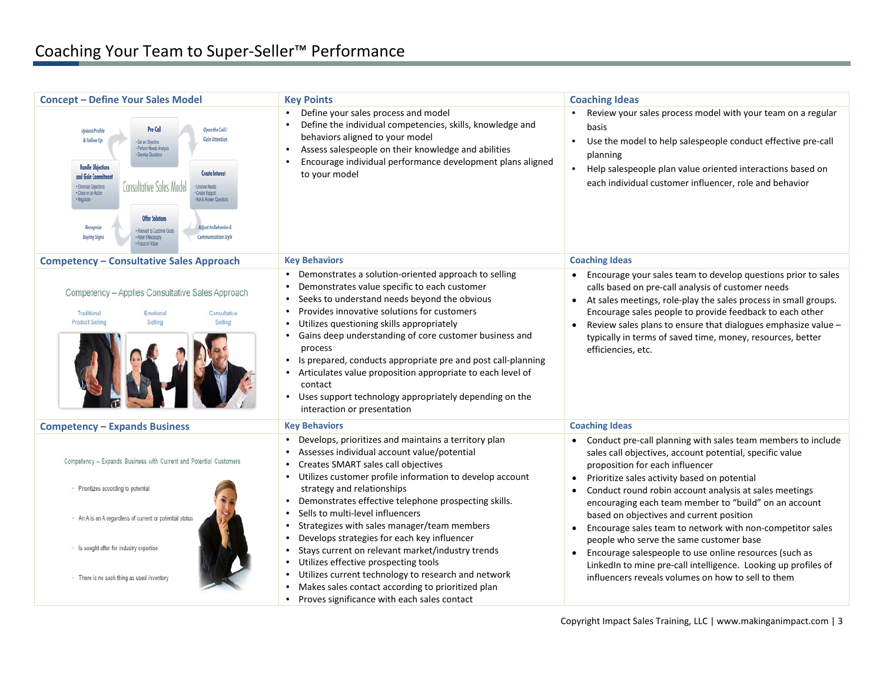| <b>Concept - Define Your Sales Model</b>                                                                                                                                                                                                                                                                                                                                                                                                                                                                                                                                               | <b>Key Points</b>                                                                                                                                                                                                                                                                                                                                                                                                                                                                                                                                                                                                                                                                                       | <b>Coaching Ideas</b>                                                                                                                                                                                                                                                                                                                                                                                                                                                                                                                                                                                                                                                                                       |
|----------------------------------------------------------------------------------------------------------------------------------------------------------------------------------------------------------------------------------------------------------------------------------------------------------------------------------------------------------------------------------------------------------------------------------------------------------------------------------------------------------------------------------------------------------------------------------------|---------------------------------------------------------------------------------------------------------------------------------------------------------------------------------------------------------------------------------------------------------------------------------------------------------------------------------------------------------------------------------------------------------------------------------------------------------------------------------------------------------------------------------------------------------------------------------------------------------------------------------------------------------------------------------------------------------|-------------------------------------------------------------------------------------------------------------------------------------------------------------------------------------------------------------------------------------------------------------------------------------------------------------------------------------------------------------------------------------------------------------------------------------------------------------------------------------------------------------------------------------------------------------------------------------------------------------------------------------------------------------------------------------------------------------|
| Pre-Call<br>Open the Call /<br><b>Update Profile</b><br><b>Gain Attention</b><br>& Follow Up<br>Set an Objective<br>Perform Needs Analysis<br>Develop Questions<br><b>Handle Objections</b><br><b>Create Interest</b><br>and Gain Commitm<br>Consultative Sales Model<br>· Eliminate Objections<br>· Uncover Needs<br>Close on an Action<br>Create Rapport<br>. Ask & Answer Questions<br><b>Offer Solutions</b><br><b>Edivet to Rehavior J</b><br>Recognize<br>Relevant to Customer Goal<br><b>Communication Style</b><br><b>Buying Signs</b><br>Refer if Necessary<br>Focus on Value | Define your sales process and model<br>$\bullet$<br>Define the individual competencies, skills, knowledge and<br>behaviors aligned to your model<br>Assess salespeople on their knowledge and abilities<br>Encourage individual performance development plans aligned<br>$\bullet$<br>to your model                                                                                                                                                                                                                                                                                                                                                                                                     | Review your sales process model with your team on a regular<br>$\bullet$<br>basis<br>$\bullet$<br>Use the model to help salespeople conduct effective pre-call<br>planning<br>$\bullet$<br>Help salespeople plan value oriented interactions based on<br>each individual customer influencer, role and behavior                                                                                                                                                                                                                                                                                                                                                                                             |
| <b>Competency - Consultative Sales Approach</b>                                                                                                                                                                                                                                                                                                                                                                                                                                                                                                                                        | <b>Key Behaviors</b>                                                                                                                                                                                                                                                                                                                                                                                                                                                                                                                                                                                                                                                                                    | <b>Coaching Ideas</b>                                                                                                                                                                                                                                                                                                                                                                                                                                                                                                                                                                                                                                                                                       |
| Competency - Applies Consultative Sales Approach<br>Traditional<br>Emotional<br>Consultative<br><b>Product Selling</b><br>Selling<br>Selling                                                                                                                                                                                                                                                                                                                                                                                                                                           | Demonstrates a solution-oriented approach to selling<br>Demonstrates value specific to each customer<br>$\bullet$<br>Seeks to understand needs beyond the obvious<br>$\bullet$<br>Provides innovative solutions for customers<br>Utilizes questioning skills appropriately<br>Gains deep understanding of core customer business and<br>process<br>Is prepared, conducts appropriate pre and post call-planning<br>$\bullet$<br>Articulates value proposition appropriate to each level of<br>contact<br>Uses support technology appropriately depending on the<br>interaction or presentation                                                                                                          | Encourage your sales team to develop questions prior to sales<br>calls based on pre-call analysis of customer needs<br>At sales meetings, role-play the sales process in small groups.<br>Encourage sales people to provide feedback to each other<br>Review sales plans to ensure that dialogues emphasize value -<br>$\bullet$<br>typically in terms of saved time, money, resources, better<br>efficiencies, etc.                                                                                                                                                                                                                                                                                        |
| <b>Competency - Expands Business</b>                                                                                                                                                                                                                                                                                                                                                                                                                                                                                                                                                   | <b>Key Behaviors</b>                                                                                                                                                                                                                                                                                                                                                                                                                                                                                                                                                                                                                                                                                    | <b>Coaching Ideas</b>                                                                                                                                                                                                                                                                                                                                                                                                                                                                                                                                                                                                                                                                                       |
| Competency - Expands Business with Current and Potential Customers<br>· Prioritizes according to potential<br>· An A is an A regardless of current or potential status<br>· Is sought after for industry expertise<br>· There is no such thing as used inventory                                                                                                                                                                                                                                                                                                                       | Develops, prioritizes and maintains a territory plan<br>Assesses individual account value/potential<br>Creates SMART sales call objectives<br>$\bullet$<br>Utilizes customer profile information to develop account<br>$\bullet$<br>strategy and relationships<br>Demonstrates effective telephone prospecting skills.<br>Sells to multi-level influencers<br>$\bullet$<br>Strategizes with sales manager/team members<br>$\bullet$<br>Develops strategies for each key influencer<br>Stays current on relevant market/industry trends<br>Utilizes effective prospecting tools<br>Utilizes current technology to research and network<br>$\bullet$<br>Makes sales contact according to prioritized plan | Conduct pre-call planning with sales team members to include<br>sales call objectives, account potential, specific value<br>proposition for each influencer<br>Prioritize sales activity based on potential<br>$\bullet$<br>Conduct round robin account analysis at sales meetings<br>$\bullet$<br>encouraging each team member to "build" on an account<br>based on objectives and current position<br>Encourage sales team to network with non-competitor sales<br>people who serve the same customer base<br>Encourage salespeople to use online resources (such as<br>$\bullet$<br>LinkedIn to mine pre-call intelligence. Looking up profiles of<br>influencers reveals volumes on how to sell to them |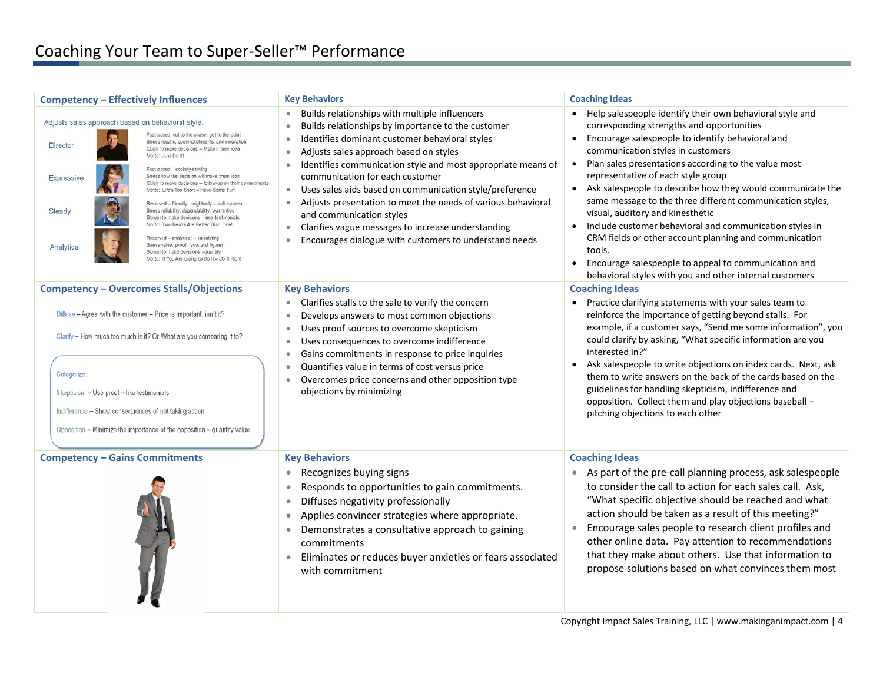| <b>Competency - Effectively Influences</b>                                                                                                                                                                                                                                                                                                                                                                                                                                                                                                                                                                                                                                                                                                                                                                                               | <b>Key Behaviors</b>                                                                                                                                                                                                                                                                                                                                                                                                                                                                                                                                                                                                                                          | <b>Coaching Ideas</b>                                                                                                                                                                                                                                                                                                                                                                                                                                                                                                                                                                                                                                                                                                                     |
|------------------------------------------------------------------------------------------------------------------------------------------------------------------------------------------------------------------------------------------------------------------------------------------------------------------------------------------------------------------------------------------------------------------------------------------------------------------------------------------------------------------------------------------------------------------------------------------------------------------------------------------------------------------------------------------------------------------------------------------------------------------------------------------------------------------------------------------|---------------------------------------------------------------------------------------------------------------------------------------------------------------------------------------------------------------------------------------------------------------------------------------------------------------------------------------------------------------------------------------------------------------------------------------------------------------------------------------------------------------------------------------------------------------------------------------------------------------------------------------------------------------|-------------------------------------------------------------------------------------------------------------------------------------------------------------------------------------------------------------------------------------------------------------------------------------------------------------------------------------------------------------------------------------------------------------------------------------------------------------------------------------------------------------------------------------------------------------------------------------------------------------------------------------------------------------------------------------------------------------------------------------------|
| Adjusts sales approach based on behavioral style.<br>Fast-paced, cut to the chase, get to the point<br>Stress results, accomplishments and innovation<br>Director<br>Quick to make decisions - Make it their idea<br>Motto: Just Do It!<br>Fast-paced - socially striving<br>Stress how the decision will make them look<br>Expressive<br>Quick to make decisions - follow-up on their commitments<br>Motto: Life's Too Short - Have Some Fun!<br>Reserved - friendly- neighborly - soft-spoken<br>Stress reliability, dependability, warranties<br>Steady<br>Slower to make decisions - use testimonials<br>Motto: Two Heads Are Better Than One!<br>Reserved - analytical - calculating<br>Stress value, proof, facts and figures<br>Analytica<br>Slower to make decisions -quantify<br>Motto: If You Are Going to Do It - Do It Right | Builds relationships with multiple influencers<br>$\bullet$<br>Builds relationships by importance to the customer<br>$\bullet$<br>Identifies dominant customer behavioral styles<br>$\bullet$<br>Adjusts sales approach based on styles<br>$\bullet$<br>Identifies communication style and most appropriate means of<br>communication for each customer<br>Uses sales aids based on communication style/preference<br>$\bullet$<br>Adjusts presentation to meet the needs of various behavioral<br>and communication styles<br>Clarifies vague messages to increase understanding<br>$\bullet$<br>Encourages dialogue with customers to understand needs<br>٠ | • Help salespeople identify their own behavioral style and<br>corresponding strengths and opportunities<br>Encourage salespeople to identify behavioral and<br>communication styles in customers<br>Plan sales presentations according to the value most<br>$\bullet$<br>representative of each style group<br>Ask salespeople to describe how they would communicate the<br>same message to the three different communication styles,<br>visual, auditory and kinesthetic<br>Include customer behavioral and communication styles in<br>CRM fields or other account planning and communication<br>tools.<br>Encourage salespeople to appeal to communication and<br>$\bullet$<br>behavioral styles with you and other internal customers |
| <b>Competency - Overcomes Stalls/Objections</b>                                                                                                                                                                                                                                                                                                                                                                                                                                                                                                                                                                                                                                                                                                                                                                                          | <b>Key Behaviors</b>                                                                                                                                                                                                                                                                                                                                                                                                                                                                                                                                                                                                                                          | <b>Coaching Ideas</b>                                                                                                                                                                                                                                                                                                                                                                                                                                                                                                                                                                                                                                                                                                                     |
| Diffuse - Agree with the customer - Price is important, isn't it?<br>Clarify - How much too much is it? Or What are you comparing it to?<br>Categorize:<br>Skepticism - Use proof - like testimonials<br>Indifference - Show consequences of not taking action<br>Opposition - Minimize the importance of the opposition - quantify value                                                                                                                                                                                                                                                                                                                                                                                                                                                                                                | Clarifies stalls to the sale to verify the concern<br>$\bullet$<br>Develops answers to most common objections<br>$\bullet$<br>Uses proof sources to overcome skepticism<br>$\bullet$<br>Uses consequences to overcome indifference<br>$\bullet$<br>Gains commitments in response to price inquiries<br>$\bullet$<br>Quantifies value in terms of cost versus price<br>$\bullet$<br>Overcomes price concerns and other opposition type<br>objections by minimizing                                                                                                                                                                                             | Practice clarifying statements with your sales team to<br>reinforce the importance of getting beyond stalls. For<br>example, if a customer says, "Send me some information", you<br>could clarify by asking, "What specific information are you<br>interested in?"<br>Ask salespeople to write objections on index cards. Next, ask<br>them to write answers on the back of the cards based on the<br>guidelines for handling skepticism, indifference and<br>opposition. Collect them and play objections baseball -<br>pitching objections to each other                                                                                                                                                                                |
| <b>Competency - Gains Commitments</b>                                                                                                                                                                                                                                                                                                                                                                                                                                                                                                                                                                                                                                                                                                                                                                                                    | <b>Key Behaviors</b>                                                                                                                                                                                                                                                                                                                                                                                                                                                                                                                                                                                                                                          | <b>Coaching Ideas</b>                                                                                                                                                                                                                                                                                                                                                                                                                                                                                                                                                                                                                                                                                                                     |
|                                                                                                                                                                                                                                                                                                                                                                                                                                                                                                                                                                                                                                                                                                                                                                                                                                          | Recognizes buying signs<br>$\bullet$<br>Responds to opportunities to gain commitments.<br>$\bullet$<br>Diffuses negativity professionally<br>$\bullet$<br>Applies convincer strategies where appropriate.<br>$\bullet$<br>Demonstrates a consultative approach to gaining<br>$\bullet$<br>commitments<br>Eliminates or reduces buyer anxieties or fears associated<br>$\bullet$<br>with commitment                                                                                                                                                                                                                                                            | • As part of the pre-call planning process, ask salespeople<br>to consider the call to action for each sales call. Ask,<br>"What specific objective should be reached and what<br>action should be taken as a result of this meeting?"<br>Encourage sales people to research client profiles and<br>other online data. Pay attention to recommendations<br>that they make about others. Use that information to<br>propose solutions based on what convinces them most                                                                                                                                                                                                                                                                    |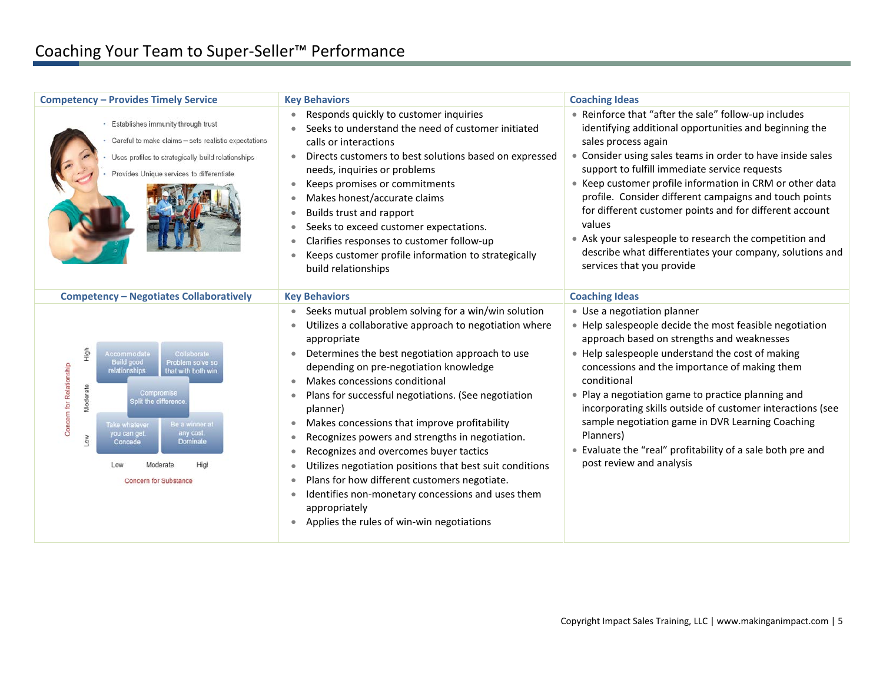| <b>Competency - Provides Timely Service</b>                                                                                                                                                                                                                                                                                            | <b>Key Behaviors</b>                                                                                                                                                                                                                                                                                                                                                                                                                                                                                                                                                                                                                                                                                                                                                                                                                | <b>Coaching Ideas</b>                                                                                                                                                                                                                                                                                                                                                                                                                                                                                                                                                                              |
|----------------------------------------------------------------------------------------------------------------------------------------------------------------------------------------------------------------------------------------------------------------------------------------------------------------------------------------|-------------------------------------------------------------------------------------------------------------------------------------------------------------------------------------------------------------------------------------------------------------------------------------------------------------------------------------------------------------------------------------------------------------------------------------------------------------------------------------------------------------------------------------------------------------------------------------------------------------------------------------------------------------------------------------------------------------------------------------------------------------------------------------------------------------------------------------|----------------------------------------------------------------------------------------------------------------------------------------------------------------------------------------------------------------------------------------------------------------------------------------------------------------------------------------------------------------------------------------------------------------------------------------------------------------------------------------------------------------------------------------------------------------------------------------------------|
| · Establishes immunity through trust<br>Careful to make claims - sets realistic expectations<br>Uses profiles to strategically build relationships<br>Provides Unique services to differentiate                                                                                                                                        | Responds quickly to customer inquiries<br>Seeks to understand the need of customer initiated<br>calls or interactions<br>Directs customers to best solutions based on expressed<br>$\bullet$<br>needs, inquiries or problems<br>Keeps promises or commitments<br>Makes honest/accurate claims<br>Builds trust and rapport<br>$\bullet$<br>Seeks to exceed customer expectations.<br>$\bullet$<br>Clarifies responses to customer follow-up<br>Keeps customer profile information to strategically<br>build relationships                                                                                                                                                                                                                                                                                                            | • Reinforce that "after the sale" follow-up includes<br>identifying additional opportunities and beginning the<br>sales process again<br>• Consider using sales teams in order to have inside sales<br>support to fulfill immediate service requests<br>• Keep customer profile information in CRM or other data<br>profile. Consider different campaigns and touch points<br>for different customer points and for different account<br>values<br>• Ask your salespeople to research the competition and<br>describe what differentiates your company, solutions and<br>services that you provide |
| <b>Competency - Negotiates Collaboratively</b>                                                                                                                                                                                                                                                                                         | <b>Key Behaviors</b>                                                                                                                                                                                                                                                                                                                                                                                                                                                                                                                                                                                                                                                                                                                                                                                                                | <b>Coaching Ideas</b>                                                                                                                                                                                                                                                                                                                                                                                                                                                                                                                                                                              |
| High<br>Collaborate<br>Accommodate<br><b>Build good</b><br>Problem solve so<br>Concern for Relationship<br>elationships<br>that with both win<br>Moderate<br>Compromise<br>split the difference<br>Be a winner at<br>Take whatever<br>any cost<br>you can get<br>Mo7<br>Dominate<br>Concede<br>Low<br>Moderat<br>Concern for Substance | Seeks mutual problem solving for a win/win solution<br>$\bullet$<br>Utilizes a collaborative approach to negotiation where<br>appropriate<br>Determines the best negotiation approach to use<br>$\bullet$<br>depending on pre-negotiation knowledge<br>Makes concessions conditional<br>$\bullet$<br>Plans for successful negotiations. (See negotiation<br>$\bullet$<br>planner)<br>Makes concessions that improve profitability<br>٠<br>Recognizes powers and strengths in negotiation.<br>$\bullet$<br>Recognizes and overcomes buyer tactics<br>$\bullet$<br>Utilizes negotiation positions that best suit conditions<br>$\bullet$<br>Plans for how different customers negotiate.<br>$\bullet$<br>Identifies non-monetary concessions and uses them<br>appropriately<br>Applies the rules of win-win negotiations<br>$\bullet$ | • Use a negotiation planner<br>• Help salespeople decide the most feasible negotiation<br>approach based on strengths and weaknesses<br>• Help salespeople understand the cost of making<br>concessions and the importance of making them<br>conditional<br>• Play a negotiation game to practice planning and<br>incorporating skills outside of customer interactions (see<br>sample negotiation game in DVR Learning Coaching<br>Planners)<br>• Evaluate the "real" profitability of a sale both pre and<br>post review and analysis                                                            |